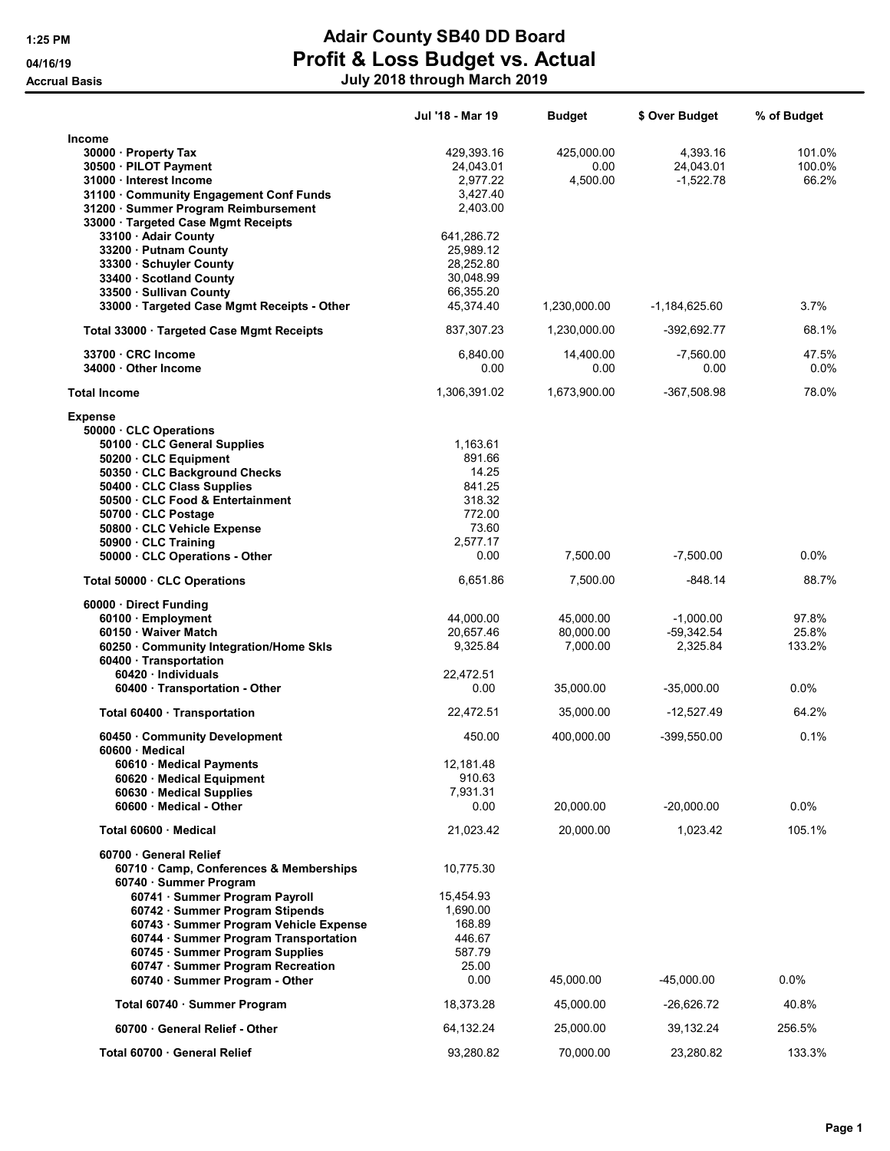## 1:25 PM **Adair County SB40 DD Board** 04/16/19 **Profit & Loss Budget vs. Actual** Accrual Basis July 2018 through March 2019

|                                                | Jul '18 - Mar 19 | <b>Budget</b> | \$ Over Budget | % of Budget |
|------------------------------------------------|------------------|---------------|----------------|-------------|
| <b>Income</b>                                  |                  |               |                |             |
| 30000 · Property Tax                           | 429,393.16       | 425,000.00    | 4,393.16       | 101.0%      |
| 30500 · PILOT Payment                          | 24,043.01        | 0.00          | 24,043.01      | 100.0%      |
| 31000 · Interest Income                        | 2,977.22         | 4,500.00      | $-1,522.78$    | 66.2%       |
| 31100 Community Engagement Conf Funds          | 3,427.40         |               |                |             |
| 31200 · Summer Program Reimbursement           | 2,403.00         |               |                |             |
| 33000 · Targeted Case Mgmt Receipts            |                  |               |                |             |
| 33100 · Adair County                           | 641,286.72       |               |                |             |
| 33200 · Putnam County                          | 25,989.12        |               |                |             |
| 33300 Schuyler County                          | 28,252.80        |               |                |             |
| 33400 · Scotland County                        | 30,048.99        |               |                |             |
| 33500 · Sullivan County                        | 66,355.20        |               |                |             |
| 33000 · Targeted Case Mgmt Receipts - Other    | 45,374.40        | 1,230,000.00  | -1,184,625.60  | 3.7%        |
| Total 33000 Targeted Case Mgmt Receipts        | 837,307.23       | 1,230,000.00  | -392,692.77    | 68.1%       |
| 33700 CRC Income                               | 6,840.00         | 14,400.00     | $-7,560.00$    | 47.5%       |
| 34000 Other Income                             | 0.00             | 0.00          | 0.00           | $0.0\%$     |
| <b>Total Income</b>                            | 1,306,391.02     | 1,673,900.00  | $-367,508.98$  | 78.0%       |
| <b>Expense</b>                                 |                  |               |                |             |
| 50000 CLC Operations                           |                  |               |                |             |
| 50100 CLC General Supplies                     | 1,163.61         |               |                |             |
| 50200 CLC Equipment                            | 891.66           |               |                |             |
| 50350 CLC Background Checks                    | 14.25            |               |                |             |
| 50400 · CLC Class Supplies                     | 841.25           |               |                |             |
| 50500 CLC Food & Entertainment                 | 318.32           |               |                |             |
| 50700 CLC Postage                              | 772.00           |               |                |             |
| 50800 · CLC Vehicle Expense                    | 73.60            |               |                |             |
| 50900 CLC Training                             | 2,577.17         |               |                |             |
| 50000 CLC Operations - Other                   | 0.00             | 7,500.00      | $-7,500.00$    | $0.0\%$     |
| Total 50000 CLC Operations                     | 6,651.86         | 7,500.00      | $-848.14$      | 88.7%       |
| 60000 · Direct Funding                         |                  |               |                |             |
| 60100 · Employment                             | 44,000.00        | 45,000.00     | $-1,000.00$    | 97.8%       |
| 60150 · Waiver Match                           | 20,657.46        | 80,000.00     | $-59,342.54$   | 25.8%       |
| 60250 Community Integration/Home Skls          | 9,325.84         | 7,000.00      | 2,325.84       | 133.2%      |
| 60400 Transportation                           |                  |               |                |             |
| 60420 Individuals                              | 22,472.51        |               |                |             |
| 60400 · Transportation - Other                 | 0.00             | 35,000.00     | $-35,000.00$   | $0.0\%$     |
| Total 60400 · Transportation                   | 22,472.51        | 35,000.00     | $-12,527.49$   | 64.2%       |
| 60450 Community Development<br>60600 · Medical | 450.00           | 400,000.00    | $-399,550.00$  | 0.1%        |
| 60610 · Medical Payments                       | 12,181.48        |               |                |             |
| 60620 · Medical Equipment                      | 910.63           |               |                |             |
| 60630 Medical Supplies                         | 7,931.31         |               |                |             |
| 60600 · Medical - Other                        | 0.00             | 20,000.00     | $-20,000.00$   | 0.0%        |
| Total 60600 · Medical                          | 21,023.42        | 20,000.00     | 1,023.42       | 105.1%      |
| 60700 General Relief                           |                  |               |                |             |
| 60710 Camp, Conferences & Memberships          | 10,775.30        |               |                |             |
| 60740 · Summer Program                         |                  |               |                |             |
| 60741 · Summer Program Payroll                 | 15,454.93        |               |                |             |
| 60742 · Summer Program Stipends                | 1,690.00         |               |                |             |
| 60743 · Summer Program Vehicle Expense         | 168.89           |               |                |             |
| 60744 · Summer Program Transportation          | 446.67           |               |                |             |
| 60745 · Summer Program Supplies                | 587.79           |               |                |             |
| 60747 · Summer Program Recreation              | 25.00            |               |                |             |
| 60740 · Summer Program - Other                 | 0.00             | 45,000.00     | $-45,000.00$   | 0.0%        |
| Total 60740 · Summer Program                   | 18,373.28        | 45,000.00     | $-26,626.72$   | 40.8%       |
| 60700 General Relief - Other                   | 64,132.24        | 25,000.00     | 39,132.24      | 256.5%      |
| Total 60700 · General Relief                   | 93,280.82        | 70,000.00     | 23,280.82      | 133.3%      |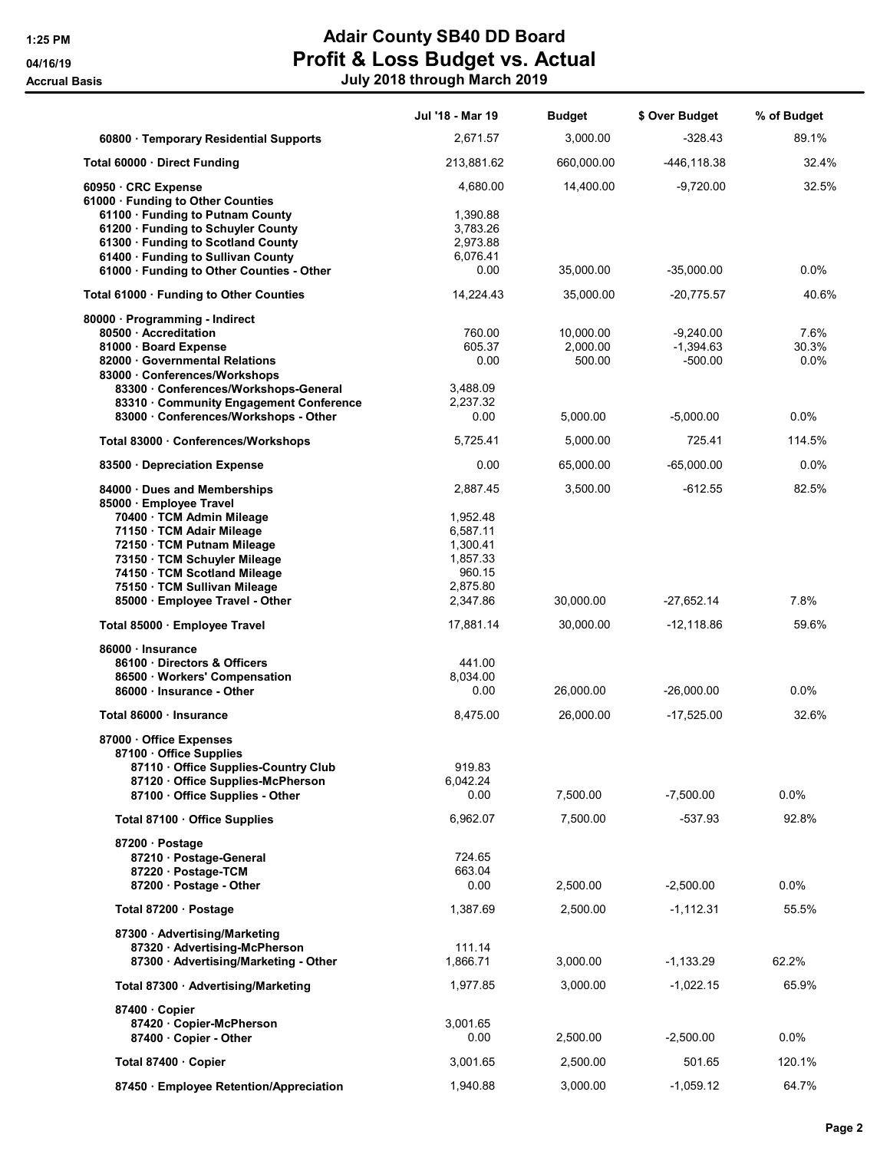## 1:25 PM **Adair County SB40 DD Board** 04/16/19 **Profit & Loss Budget vs. Actual** Accrual Basis July 2018 through March 2019

|                                                                                                                                                                                                                                               | Jul '18 - Mar 19                                                               | <b>Budget</b>                   | \$ Over Budget                          | % of Budget              |
|-----------------------------------------------------------------------------------------------------------------------------------------------------------------------------------------------------------------------------------------------|--------------------------------------------------------------------------------|---------------------------------|-----------------------------------------|--------------------------|
| 60800 · Temporary Residential Supports                                                                                                                                                                                                        | 2,671.57                                                                       | 3,000.00                        | $-328.43$                               | 89.1%                    |
| Total 60000 · Direct Funding                                                                                                                                                                                                                  | 213,881.62                                                                     | 660,000.00                      | -446,118.38                             | 32.4%                    |
| 60950 CRC Expense<br>61000 · Funding to Other Counties<br>61100 · Funding to Putnam County<br>61200 Funding to Schuyler County<br>61300 Funding to Scotland County<br>61400 · Funding to Sullivan County                                      | 4,680.00<br>1,390.88<br>3,783.26<br>2,973.88<br>6,076.41                       | 14,400.00                       | $-9,720.00$                             | 32.5%                    |
| 61000 · Funding to Other Counties - Other                                                                                                                                                                                                     | 0.00                                                                           | 35,000.00                       | $-35,000.00$                            | 0.0%                     |
| Total 61000 · Funding to Other Counties                                                                                                                                                                                                       | 14,224.43                                                                      | 35,000.00                       | $-20,775.57$                            | 40.6%                    |
| 80000 · Programming - Indirect<br>80500 Accreditation<br>81000 · Board Expense<br>82000 Governmental Relations<br>83000 Conferences/Workshops<br>83300 · Conferences/Workshops-General                                                        | 760.00<br>605.37<br>0.00<br>3,488.09                                           | 10,000.00<br>2,000.00<br>500.00 | $-9,240.00$<br>$-1,394.63$<br>$-500.00$ | 7.6%<br>30.3%<br>$0.0\%$ |
| 83310 Community Engagement Conference<br>83000 · Conferences/Workshops - Other                                                                                                                                                                | 2,237.32<br>0.00                                                               | 5,000.00                        | $-5,000.00$                             | $0.0\%$                  |
| Total 83000 · Conferences/Workshops                                                                                                                                                                                                           | 5,725.41                                                                       | 5,000.00                        | 725.41                                  | 114.5%                   |
| 83500 · Depreciation Expense                                                                                                                                                                                                                  | 0.00                                                                           | 65,000.00                       | $-65,000.00$                            | 0.0%                     |
| 84000 Dues and Memberships<br>85000 · Employee Travel<br>70400 · TCM Admin Mileage<br>71150 · TCM Adair Mileage<br>72150 · TCM Putnam Mileage<br>73150 · TCM Schuyler Mileage<br>74150 · TCM Scotland Mileage<br>75150 · TCM Sullivan Mileage | 2,887.45<br>1,952.48<br>6,587.11<br>1,300.41<br>1,857.33<br>960.15<br>2,875.80 | 3,500.00                        | $-612.55$                               | 82.5%                    |
| 85000 · Employee Travel - Other                                                                                                                                                                                                               | 2,347.86                                                                       | 30,000.00                       | $-27,652.14$                            | 7.8%                     |
| Total 85000 · Employee Travel<br>86000 Insurance<br>86100 Directors & Officers<br>86500 · Workers' Compensation<br>86000 Insurance - Other                                                                                                    | 17,881.14<br>441.00<br>8,034.00<br>0.00                                        | 30,000.00<br>26,000.00          | $-12,118.86$<br>$-26,000.00$            | 59.6%<br>$0.0\%$         |
| Total 86000 · Insurance                                                                                                                                                                                                                       | 8,475.00                                                                       | 26,000.00                       | $-17,525.00$                            | 32.6%                    |
| 87000 Office Expenses<br>87100 Office Supplies<br>87110 Office Supplies-Country Club<br>87120 · Office Supplies-McPherson<br>87100 · Office Supplies - Other                                                                                  | 919.83<br>6,042.24<br>0.00                                                     | 7,500.00                        | $-7,500.00$                             | 0.0%                     |
| Total 87100 · Office Supplies                                                                                                                                                                                                                 | 6,962.07                                                                       | 7,500.00                        | $-537.93$                               | 92.8%                    |
| 87200 · Postage<br>87210 · Postage-General<br>87220 · Postage-TCM<br>87200 · Postage - Other                                                                                                                                                  | 724.65<br>663.04<br>0.00                                                       | 2,500.00                        | $-2,500.00$                             | $0.0\%$                  |
| Total 87200 · Postage                                                                                                                                                                                                                         | 1,387.69                                                                       | 2,500.00                        | $-1,112.31$                             | 55.5%                    |
| 87300 Advertising/Marketing<br>87320 · Advertising-McPherson<br>87300 · Advertising/Marketing - Other                                                                                                                                         | 111.14<br>1,866.71                                                             | 3,000.00                        | -1,133.29                               | 62.2%                    |
| Total 87300 · Advertising/Marketing                                                                                                                                                                                                           | 1,977.85                                                                       | 3,000.00                        | $-1,022.15$                             | 65.9%                    |
| 87400 Copier<br>87420 · Copier-McPherson<br>87400 Copier - Other                                                                                                                                                                              | 3,001.65<br>0.00                                                               | 2,500.00                        | $-2,500.00$                             | $0.0\%$                  |
| Total 87400 · Copier                                                                                                                                                                                                                          | 3,001.65                                                                       | 2,500.00                        | 501.65                                  | 120.1%                   |
| 87450 · Employee Retention/Appreciation                                                                                                                                                                                                       | 1,940.88                                                                       | 3,000.00                        | $-1,059.12$                             | 64.7%                    |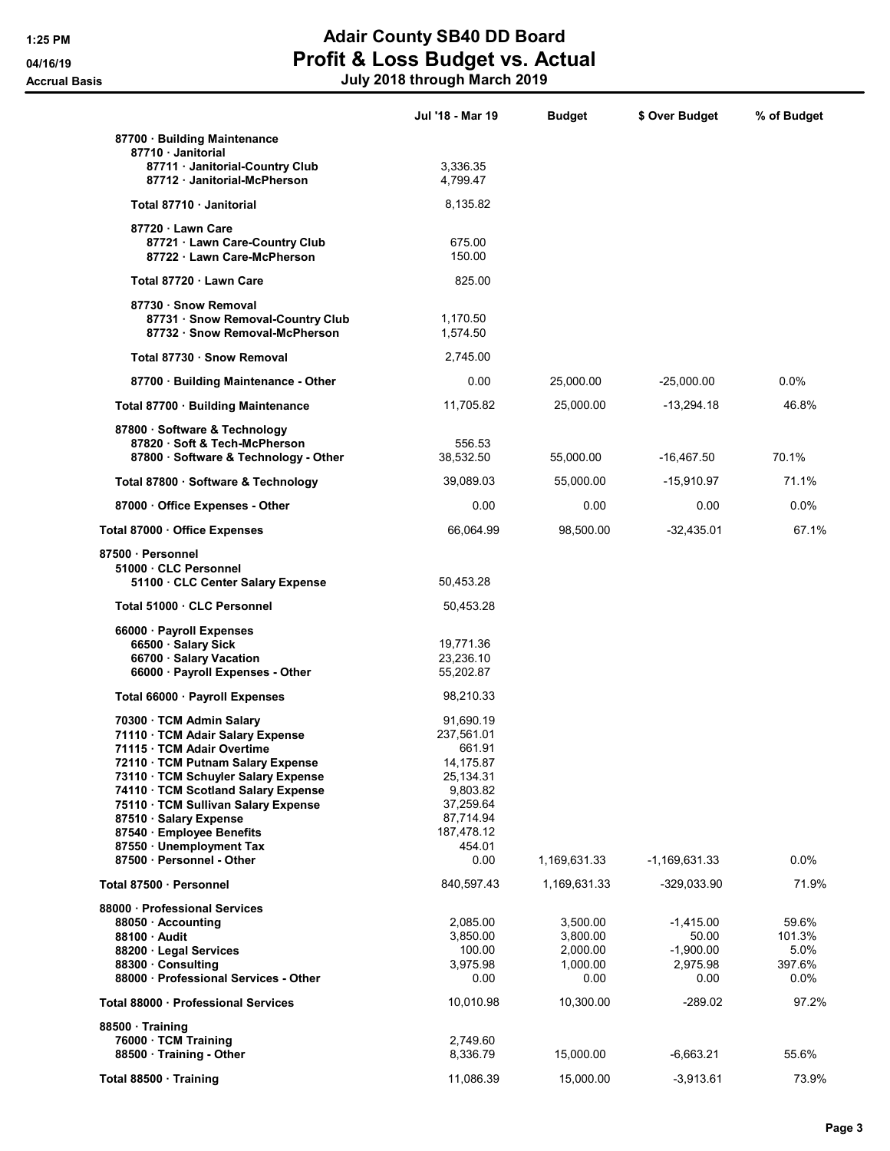## 1:25 PM **Adair County SB40 DD Board** 04/16/19 **Profit & Loss Budget vs. Actual** Accrual Basis July 2018 through March 2019

|                                                              | Jul '18 - Mar 19        | <b>Budget</b>        | \$ Over Budget       | % of Budget    |
|--------------------------------------------------------------|-------------------------|----------------------|----------------------|----------------|
| 87700 · Building Maintenance                                 |                         |                      |                      |                |
| 87710 Janitorial<br>87711 · Janitorial-Country Club          | 3.336.35                |                      |                      |                |
| 87712 Janitorial-McPherson                                   | 4,799.47                |                      |                      |                |
| Total 87710 Janitorial                                       | 8,135.82                |                      |                      |                |
| 87720 · Lawn Care                                            |                         |                      |                      |                |
| 87721 · Lawn Care-Country Club                               | 675.00                  |                      |                      |                |
| 87722 · Lawn Care-McPherson                                  | 150.00                  |                      |                      |                |
| Total 87720 Lawn Care                                        | 825.00                  |                      |                      |                |
| 87730 · Snow Removal                                         |                         |                      |                      |                |
| 87731 · Snow Removal-Country Club                            | 1,170.50                |                      |                      |                |
| 87732 · Snow Removal-McPherson                               | 1,574.50                |                      |                      |                |
| Total 87730 · Snow Removal                                   | 2,745.00                |                      |                      |                |
| 87700 · Building Maintenance - Other                         | 0.00                    | 25,000.00            | $-25,000.00$         | $0.0\%$        |
| Total 87700 · Building Maintenance                           | 11,705.82               | 25,000.00            | $-13,294.18$         | 46.8%          |
| 87800 · Software & Technology                                |                         |                      |                      |                |
| 87820 · Soft & Tech-McPherson                                | 556.53                  |                      |                      |                |
| 87800 · Software & Technology - Other                        | 38,532.50               | 55,000.00            | $-16,467.50$         | 70.1%          |
| Total 87800 · Software & Technology                          | 39,089.03               | 55,000.00            | $-15.910.97$         | 71.1%          |
| 87000 · Office Expenses - Other                              | 0.00                    | 0.00                 | 0.00                 | $0.0\%$        |
| Total 87000 · Office Expenses                                | 66,064.99               | 98,500.00            | $-32,435.01$         | 67.1%          |
| 87500 Personnel                                              |                         |                      |                      |                |
| 51000 CLC Personnel                                          |                         |                      |                      |                |
| 51100 · CLC Center Salary Expense                            | 50,453.28               |                      |                      |                |
| Total 51000 · CLC Personnel                                  | 50,453.28               |                      |                      |                |
| 66000 · Payroll Expenses                                     |                         |                      |                      |                |
| 66500 · Salary Sick                                          | 19,771.36               |                      |                      |                |
| 66700 · Salary Vacation<br>66000 · Payroll Expenses - Other  | 23,236.10<br>55,202.87  |                      |                      |                |
| Total 66000 · Payroll Expenses                               | 98,210.33               |                      |                      |                |
|                                                              |                         |                      |                      |                |
| 70300 · TCM Admin Salary<br>71110 · TCM Adair Salary Expense | 91,690.19<br>237,561.01 |                      |                      |                |
| 71115 · TCM Adair Overtime                                   | 661.91                  |                      |                      |                |
| 72110 · TCM Putnam Salary Expense                            | 14,175.87               |                      |                      |                |
| 73110 · TCM Schuyler Salary Expense                          | 25,134.31               |                      |                      |                |
| 74110 · TCM Scotland Salary Expense                          | 9,803.82                |                      |                      |                |
| 75110 · TCM Sullivan Salary Expense                          | 37,259.64               |                      |                      |                |
| 87510 · Salary Expense                                       | 87,714.94               |                      |                      |                |
| 87540 · Employee Benefits                                    | 187,478.12              |                      |                      |                |
| 87550 · Unemployment Tax<br>87500 · Personnel - Other        | 454.01<br>0.00          | 1,169,631.33         | $-1,169,631.33$      | $0.0\%$        |
|                                                              |                         |                      |                      |                |
| Total 87500 · Personnel                                      | 840,597.43              | 1,169,631.33         | $-329,033.90$        | 71.9%          |
| 88000 · Professional Services                                |                         |                      |                      |                |
| 88050 · Accounting                                           | 2,085.00                | 3,500.00             | $-1,415.00$          | 59.6%          |
| 88100 Audit<br>88200 · Legal Services                        | 3,850.00<br>100.00      | 3,800.00<br>2,000.00 | 50.00<br>$-1,900.00$ | 101.3%<br>5.0% |
| 88300 · Consulting                                           | 3,975.98                | 1,000.00             | 2,975.98             | 397.6%         |
| 88000 · Professional Services - Other                        | 0.00                    | 0.00                 | 0.00                 | $0.0\%$        |
| Total 88000 · Professional Services                          | 10,010.98               | 10,300.00            | $-289.02$            | 97.2%          |
| 88500 Training                                               |                         |                      |                      |                |
| 76000 · TCM Training                                         | 2,749.60                |                      |                      |                |
| 88500 · Training - Other                                     | 8,336.79                | 15,000.00            | -6,663.21            | 55.6%          |
| Total 88500 · Training                                       | 11,086.39               | 15,000.00            | $-3,913.61$          | 73.9%          |
|                                                              |                         |                      |                      |                |